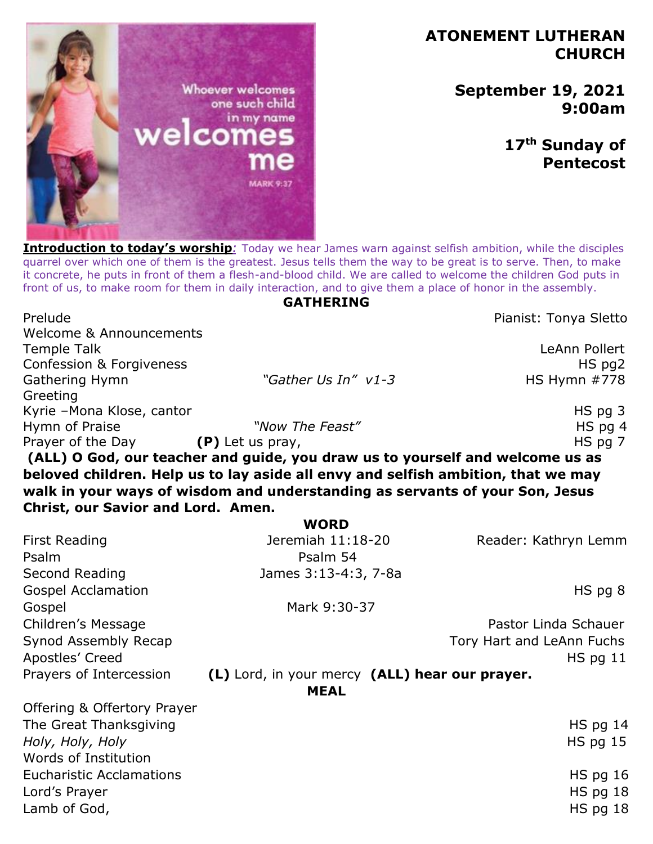# **ATONEMENT LUTHERAN CHURCH**

**September 19, 2021 9:00am** 

> **17th Sunday of Pentecost**

one such child in my name elcom

**Introduction to today's worship**<sup>*:*</sup> Today we hear James warn against selfish ambition, while the disciples quarrel over which one of them is the greatest. Jesus tells them the way to be great is to serve. Then, to make it concrete, he puts in front of them a flesh-and-blood child. We are called to welcome the children God puts in front of us, to make room for them in daily interaction, and to give them a place of honor in the assembly.

#### **GATHERING**

Prelude **Prelude** Prelude **Prelude** Pianist: Tonya Sletto

Welcome & Announcements Temple Talk LeAnn Pollert Confession & Forgiveness **HS** pg2 Gathering Hymn **bigger and** *"Gather Us In"*  $v1-3$  **HS Hymn #778 Greeting** Kyrie –Mona Klose, cantor HS pg 3 Hymn of Praise *"Now The Feast"* **HS pg 4** Prayer of the Day **(P)** Let us pray, **HS** pg 7

**(ALL) O God, our teacher and guide, you draw us to yourself and welcome us as beloved children. Help us to lay aside all envy and selfish ambition, that we may walk in your ways of wisdom and understanding as servants of your Son, Jesus Christ, our Savior and Lord. Amen.**

|                                 | <b>WORD</b>                                    |                           |
|---------------------------------|------------------------------------------------|---------------------------|
| <b>First Reading</b>            | Jeremiah 11:18-20                              | Reader: Kathryn Lemm      |
| Psalm                           | Psalm 54                                       |                           |
| Second Reading                  | James 3:13-4:3, 7-8a                           |                           |
| <b>Gospel Acclamation</b>       |                                                | $HS$ pg $8$               |
| Gospel                          | Mark 9:30-37                                   |                           |
| Children's Message              |                                                | Pastor Linda Schauer      |
| Synod Assembly Recap            |                                                | Tory Hart and LeAnn Fuchs |
| Apostles' Creed                 |                                                | $HS$ pg 11                |
| Prayers of Intercession         | (L) Lord, in your mercy (ALL) hear our prayer. |                           |
|                                 | <b>MEAL</b>                                    |                           |
| Offering & Offertory Prayer     |                                                |                           |
| The Great Thanksgiving          |                                                | $HS$ pg 14                |
| Holy, Holy, Holy                |                                                | $HS$ pg 15                |
| Words of Institution            |                                                |                           |
| <b>Eucharistic Acclamations</b> |                                                | $HS$ pg 16                |
| Lord's Prayer                   |                                                | $HS$ pg 18                |
| Lamb of God,                    |                                                | $HS$ pg 18                |